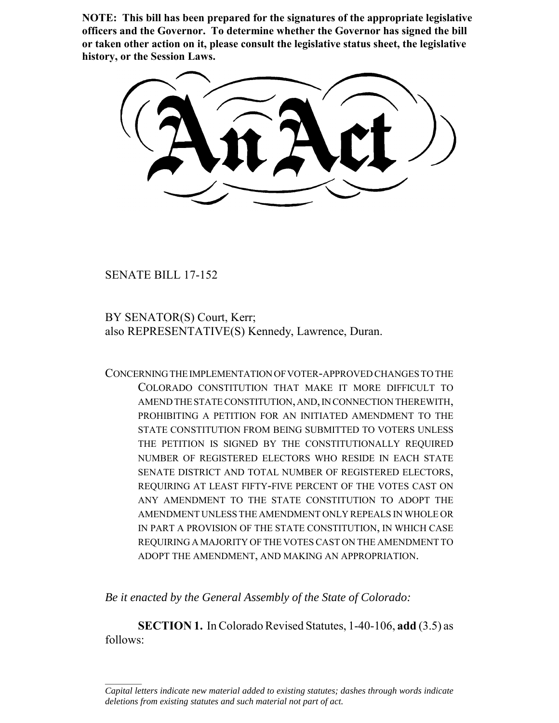**NOTE: This bill has been prepared for the signatures of the appropriate legislative officers and the Governor. To determine whether the Governor has signed the bill or taken other action on it, please consult the legislative status sheet, the legislative history, or the Session Laws.**

SENATE BILL 17-152

 $\frac{1}{2}$ 

BY SENATOR(S) Court, Kerr; also REPRESENTATIVE(S) Kennedy, Lawrence, Duran.

CONCERNING THE IMPLEMENTATION OF VOTER-APPROVED CHANGES TO THE COLORADO CONSTITUTION THAT MAKE IT MORE DIFFICULT TO AMEND THE STATE CONSTITUTION, AND, IN CONNECTION THEREWITH, PROHIBITING A PETITION FOR AN INITIATED AMENDMENT TO THE STATE CONSTITUTION FROM BEING SUBMITTED TO VOTERS UNLESS THE PETITION IS SIGNED BY THE CONSTITUTIONALLY REQUIRED NUMBER OF REGISTERED ELECTORS WHO RESIDE IN EACH STATE SENATE DISTRICT AND TOTAL NUMBER OF REGISTERED ELECTORS, REQUIRING AT LEAST FIFTY-FIVE PERCENT OF THE VOTES CAST ON ANY AMENDMENT TO THE STATE CONSTITUTION TO ADOPT THE AMENDMENT UNLESS THE AMENDMENT ONLY REPEALS IN WHOLE OR IN PART A PROVISION OF THE STATE CONSTITUTION, IN WHICH CASE REQUIRING A MAJORITY OF THE VOTES CAST ON THE AMENDMENT TO ADOPT THE AMENDMENT, AND MAKING AN APPROPRIATION.

*Be it enacted by the General Assembly of the State of Colorado:*

**SECTION 1.** In Colorado Revised Statutes, 1-40-106, **add** (3.5) as follows:

*Capital letters indicate new material added to existing statutes; dashes through words indicate deletions from existing statutes and such material not part of act.*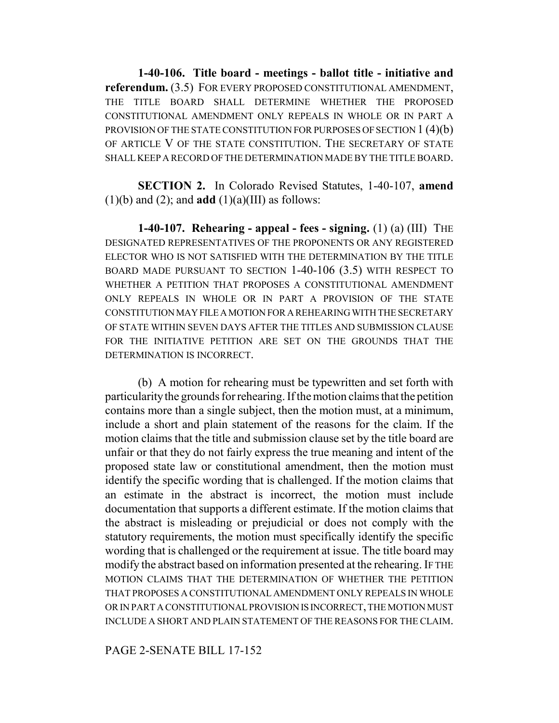**1-40-106. Title board - meetings - ballot title - initiative and referendum.** (3.5) FOR EVERY PROPOSED CONSTITUTIONAL AMENDMENT, THE TITLE BOARD SHALL DETERMINE WHETHER THE PROPOSED CONSTITUTIONAL AMENDMENT ONLY REPEALS IN WHOLE OR IN PART A PROVISION OF THE STATE CONSTITUTION FOR PURPOSES OF SECTION 1 (4)(b) OF ARTICLE V OF THE STATE CONSTITUTION. THE SECRETARY OF STATE SHALL KEEP A RECORD OF THE DETERMINATION MADE BY THE TITLE BOARD.

**SECTION 2.** In Colorado Revised Statutes, 1-40-107, **amend**  $(1)(b)$  and  $(2)$ ; and **add**  $(1)(a)(III)$  as follows:

**1-40-107. Rehearing - appeal - fees - signing.** (1) (a) (III) THE DESIGNATED REPRESENTATIVES OF THE PROPONENTS OR ANY REGISTERED ELECTOR WHO IS NOT SATISFIED WITH THE DETERMINATION BY THE TITLE BOARD MADE PURSUANT TO SECTION 1-40-106 (3.5) WITH RESPECT TO WHETHER A PETITION THAT PROPOSES A CONSTITUTIONAL AMENDMENT ONLY REPEALS IN WHOLE OR IN PART A PROVISION OF THE STATE CONSTITUTION MAY FILE A MOTION FOR A REHEARING WITH THE SECRETARY OF STATE WITHIN SEVEN DAYS AFTER THE TITLES AND SUBMISSION CLAUSE FOR THE INITIATIVE PETITION ARE SET ON THE GROUNDS THAT THE DETERMINATION IS INCORRECT.

(b) A motion for rehearing must be typewritten and set forth with particularity the grounds for rehearing. If the motion claims that the petition contains more than a single subject, then the motion must, at a minimum, include a short and plain statement of the reasons for the claim. If the motion claims that the title and submission clause set by the title board are unfair or that they do not fairly express the true meaning and intent of the proposed state law or constitutional amendment, then the motion must identify the specific wording that is challenged. If the motion claims that an estimate in the abstract is incorrect, the motion must include documentation that supports a different estimate. If the motion claims that the abstract is misleading or prejudicial or does not comply with the statutory requirements, the motion must specifically identify the specific wording that is challenged or the requirement at issue. The title board may modify the abstract based on information presented at the rehearing. IF THE MOTION CLAIMS THAT THE DETERMINATION OF WHETHER THE PETITION THAT PROPOSES A CONSTITUTIONAL AMENDMENT ONLY REPEALS IN WHOLE OR IN PART A CONSTITUTIONAL PROVISION IS INCORRECT, THE MOTION MUST INCLUDE A SHORT AND PLAIN STATEMENT OF THE REASONS FOR THE CLAIM.

## PAGE 2-SENATE BILL 17-152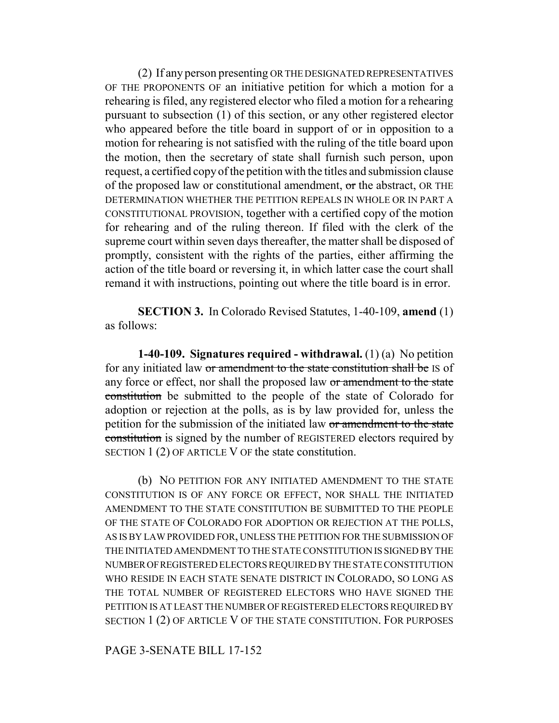(2) If any person presenting OR THE DESIGNATED REPRESENTATIVES OF THE PROPONENTS OF an initiative petition for which a motion for a rehearing is filed, any registered elector who filed a motion for a rehearing pursuant to subsection (1) of this section, or any other registered elector who appeared before the title board in support of or in opposition to a motion for rehearing is not satisfied with the ruling of the title board upon the motion, then the secretary of state shall furnish such person, upon request, a certified copy of the petition with the titles and submission clause of the proposed law or constitutional amendment,  $\sigma$ r the abstract, OR THE DETERMINATION WHETHER THE PETITION REPEALS IN WHOLE OR IN PART A CONSTITUTIONAL PROVISION, together with a certified copy of the motion for rehearing and of the ruling thereon. If filed with the clerk of the supreme court within seven days thereafter, the matter shall be disposed of promptly, consistent with the rights of the parties, either affirming the action of the title board or reversing it, in which latter case the court shall remand it with instructions, pointing out where the title board is in error.

**SECTION 3.** In Colorado Revised Statutes, 1-40-109, **amend** (1) as follows:

**1-40-109. Signatures required - withdrawal.** (1) (a) No petition for any initiated law or amendment to the state constitution shall be IS of any force or effect, nor shall the proposed law or amendment to the state constitution be submitted to the people of the state of Colorado for adoption or rejection at the polls, as is by law provided for, unless the petition for the submission of the initiated law or amendment to the state constitution is signed by the number of REGISTERED electors required by SECTION 1 (2) OF ARTICLE V OF the state constitution.

(b) NO PETITION FOR ANY INITIATED AMENDMENT TO THE STATE CONSTITUTION IS OF ANY FORCE OR EFFECT, NOR SHALL THE INITIATED AMENDMENT TO THE STATE CONSTITUTION BE SUBMITTED TO THE PEOPLE OF THE STATE OF COLORADO FOR ADOPTION OR REJECTION AT THE POLLS, AS IS BY LAW PROVIDED FOR, UNLESS THE PETITION FOR THE SUBMISSION OF THE INITIATED AMENDMENT TO THE STATE CONSTITUTION IS SIGNED BY THE NUMBER OF REGISTERED ELECTORS REQUIRED BY THE STATE CONSTITUTION WHO RESIDE IN EACH STATE SENATE DISTRICT IN COLORADO, SO LONG AS THE TOTAL NUMBER OF REGISTERED ELECTORS WHO HAVE SIGNED THE PETITION IS AT LEAST THE NUMBER OF REGISTERED ELECTORS REQUIRED BY SECTION 1 (2) OF ARTICLE V OF THE STATE CONSTITUTION. FOR PURPOSES

## PAGE 3-SENATE BILL 17-152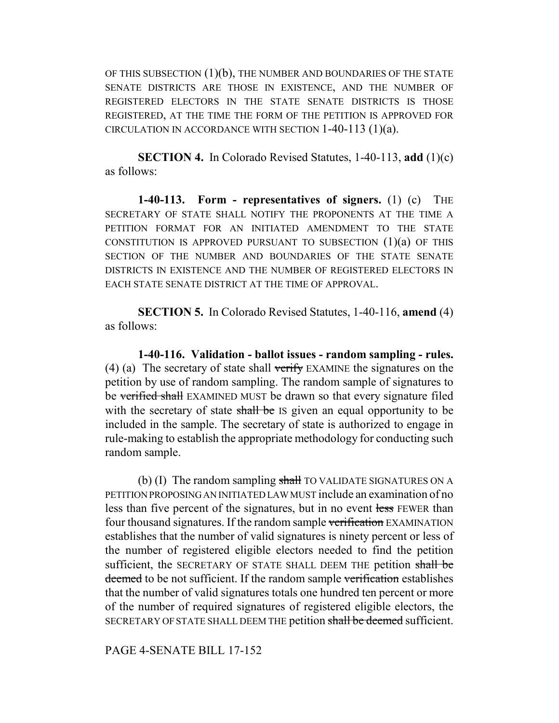OF THIS SUBSECTION  $(1)(b)$ , THE NUMBER AND BOUNDARIES OF THE STATE SENATE DISTRICTS ARE THOSE IN EXISTENCE, AND THE NUMBER OF REGISTERED ELECTORS IN THE STATE SENATE DISTRICTS IS THOSE REGISTERED, AT THE TIME THE FORM OF THE PETITION IS APPROVED FOR CIRCULATION IN ACCORDANCE WITH SECTION 1-40-113 (1)(a).

**SECTION 4.** In Colorado Revised Statutes, 1-40-113, **add** (1)(c) as follows:

**1-40-113. Form - representatives of signers.** (1) (c) THE SECRETARY OF STATE SHALL NOTIFY THE PROPONENTS AT THE TIME A PETITION FORMAT FOR AN INITIATED AMENDMENT TO THE STATE CONSTITUTION IS APPROVED PURSUANT TO SUBSECTION  $(1)(a)$  of this SECTION OF THE NUMBER AND BOUNDARIES OF THE STATE SENATE DISTRICTS IN EXISTENCE AND THE NUMBER OF REGISTERED ELECTORS IN EACH STATE SENATE DISTRICT AT THE TIME OF APPROVAL.

**SECTION 5.** In Colorado Revised Statutes, 1-40-116, **amend** (4) as follows:

**1-40-116. Validation - ballot issues - random sampling - rules.** (4) (a) The secretary of state shall verify EXAMINE the signatures on the petition by use of random sampling. The random sample of signatures to be verified shall EXAMINED MUST be drawn so that every signature filed with the secretary of state shall be IS given an equal opportunity to be included in the sample. The secretary of state is authorized to engage in rule-making to establish the appropriate methodology for conducting such random sample.

(b) (I) The random sampling  $shahl$  TO VALIDATE SIGNATURES ON A PETITION PROPOSING AN INITIATED LAW MUST include an examination of no less than five percent of the signatures, but in no event less FEWER than four thousand signatures. If the random sample verification EXAMINATION establishes that the number of valid signatures is ninety percent or less of the number of registered eligible electors needed to find the petition sufficient, the SECRETARY OF STATE SHALL DEEM THE petition shall be deemed to be not sufficient. If the random sample verification establishes that the number of valid signatures totals one hundred ten percent or more of the number of required signatures of registered eligible electors, the SECRETARY OF STATE SHALL DEEM THE petition shall be deemed sufficient.

PAGE 4-SENATE BILL 17-152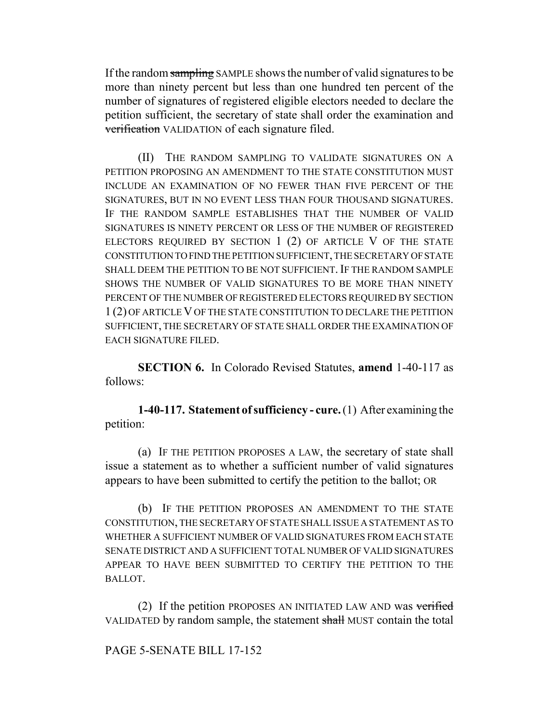If the random sampling SAMPLE shows the number of valid signatures to be more than ninety percent but less than one hundred ten percent of the number of signatures of registered eligible electors needed to declare the petition sufficient, the secretary of state shall order the examination and verification VALIDATION of each signature filed.

(II) THE RANDOM SAMPLING TO VALIDATE SIGNATURES ON A PETITION PROPOSING AN AMENDMENT TO THE STATE CONSTITUTION MUST INCLUDE AN EXAMINATION OF NO FEWER THAN FIVE PERCENT OF THE SIGNATURES, BUT IN NO EVENT LESS THAN FOUR THOUSAND SIGNATURES. IF THE RANDOM SAMPLE ESTABLISHES THAT THE NUMBER OF VALID SIGNATURES IS NINETY PERCENT OR LESS OF THE NUMBER OF REGISTERED ELECTORS REQUIRED BY SECTION 1 (2) OF ARTICLE V OF THE STATE CONSTITUTION TO FIND THE PETITION SUFFICIENT, THE SECRETARY OF STATE SHALL DEEM THE PETITION TO BE NOT SUFFICIENT. IF THE RANDOM SAMPLE SHOWS THE NUMBER OF VALID SIGNATURES TO BE MORE THAN NINETY PERCENT OF THE NUMBER OF REGISTERED ELECTORS REQUIRED BY SECTION 1 (2) OF ARTICLE V OF THE STATE CONSTITUTION TO DECLARE THE PETITION SUFFICIENT, THE SECRETARY OF STATE SHALL ORDER THE EXAMINATION OF EACH SIGNATURE FILED.

**SECTION 6.** In Colorado Revised Statutes, **amend** 1-40-117 as follows:

**1-40-117. Statement of sufficiency - cure.** (1) After examining the petition:

(a) IF THE PETITION PROPOSES A LAW, the secretary of state shall issue a statement as to whether a sufficient number of valid signatures appears to have been submitted to certify the petition to the ballot; OR

(b) IF THE PETITION PROPOSES AN AMENDMENT TO THE STATE CONSTITUTION, THE SECRETARY OF STATE SHALL ISSUE A STATEMENT AS TO WHETHER A SUFFICIENT NUMBER OF VALID SIGNATURES FROM EACH STATE SENATE DISTRICT AND A SUFFICIENT TOTAL NUMBER OF VALID SIGNATURES APPEAR TO HAVE BEEN SUBMITTED TO CERTIFY THE PETITION TO THE BALLOT.

(2) If the petition PROPOSES AN INITIATED LAW AND was verified VALIDATED by random sample, the statement shall MUST contain the total

## PAGE 5-SENATE BILL 17-152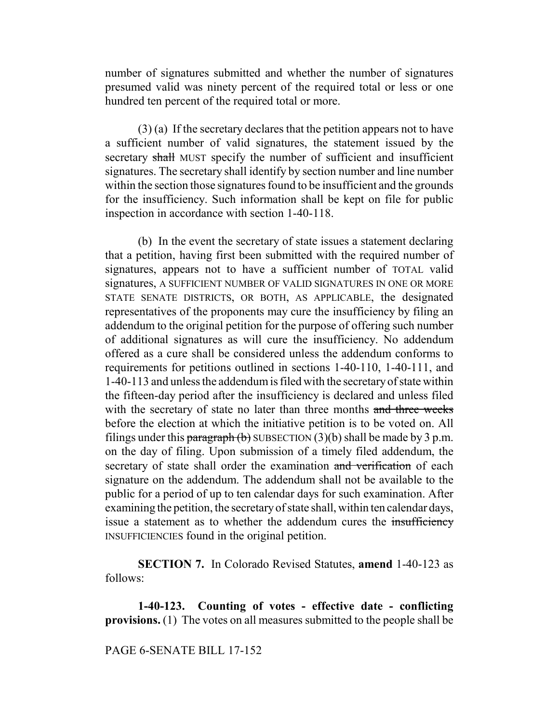number of signatures submitted and whether the number of signatures presumed valid was ninety percent of the required total or less or one hundred ten percent of the required total or more.

(3) (a) If the secretary declares that the petition appears not to have a sufficient number of valid signatures, the statement issued by the secretary shall MUST specify the number of sufficient and insufficient signatures. The secretary shall identify by section number and line number within the section those signatures found to be insufficient and the grounds for the insufficiency. Such information shall be kept on file for public inspection in accordance with section 1-40-118.

(b) In the event the secretary of state issues a statement declaring that a petition, having first been submitted with the required number of signatures, appears not to have a sufficient number of TOTAL valid signatures, A SUFFICIENT NUMBER OF VALID SIGNATURES IN ONE OR MORE STATE SENATE DISTRICTS, OR BOTH, AS APPLICABLE, the designated representatives of the proponents may cure the insufficiency by filing an addendum to the original petition for the purpose of offering such number of additional signatures as will cure the insufficiency. No addendum offered as a cure shall be considered unless the addendum conforms to requirements for petitions outlined in sections 1-40-110, 1-40-111, and 1-40-113 and unless the addendum is filed with the secretary of state within the fifteen-day period after the insufficiency is declared and unless filed with the secretary of state no later than three months and three weeks before the election at which the initiative petition is to be voted on. All filings under this paragraph (b) SUBSECTION (3)(b) shall be made by 3 p.m. on the day of filing. Upon submission of a timely filed addendum, the secretary of state shall order the examination and verification of each signature on the addendum. The addendum shall not be available to the public for a period of up to ten calendar days for such examination. After examining the petition, the secretary of state shall, within ten calendar days, issue a statement as to whether the addendum cures the insufficiency INSUFFICIENCIES found in the original petition.

**SECTION 7.** In Colorado Revised Statutes, **amend** 1-40-123 as follows:

**1-40-123. Counting of votes - effective date - conflicting provisions.** (1) The votes on all measures submitted to the people shall be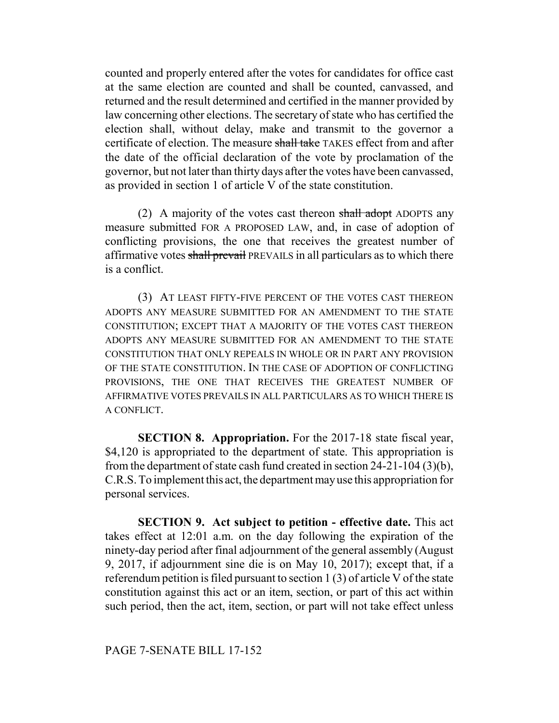counted and properly entered after the votes for candidates for office cast at the same election are counted and shall be counted, canvassed, and returned and the result determined and certified in the manner provided by law concerning other elections. The secretary of state who has certified the election shall, without delay, make and transmit to the governor a certificate of election. The measure shall take TAKES effect from and after the date of the official declaration of the vote by proclamation of the governor, but not later than thirty days after the votes have been canvassed, as provided in section 1 of article V of the state constitution.

(2) A majority of the votes cast thereon shall adopt ADOPTS any measure submitted FOR A PROPOSED LAW, and, in case of adoption of conflicting provisions, the one that receives the greatest number of affirmative votes shall prevail PREVAILS in all particulars as to which there is a conflict.

(3) AT LEAST FIFTY-FIVE PERCENT OF THE VOTES CAST THEREON ADOPTS ANY MEASURE SUBMITTED FOR AN AMENDMENT TO THE STATE CONSTITUTION; EXCEPT THAT A MAJORITY OF THE VOTES CAST THEREON ADOPTS ANY MEASURE SUBMITTED FOR AN AMENDMENT TO THE STATE CONSTITUTION THAT ONLY REPEALS IN WHOLE OR IN PART ANY PROVISION OF THE STATE CONSTITUTION. IN THE CASE OF ADOPTION OF CONFLICTING PROVISIONS, THE ONE THAT RECEIVES THE GREATEST NUMBER OF AFFIRMATIVE VOTES PREVAILS IN ALL PARTICULARS AS TO WHICH THERE IS A CONFLICT.

**SECTION 8. Appropriation.** For the 2017-18 state fiscal year, \$4,120 is appropriated to the department of state. This appropriation is from the department of state cash fund created in section 24-21-104 (3)(b), C.R.S. To implement this act, the department may use this appropriation for personal services.

**SECTION 9. Act subject to petition - effective date.** This act takes effect at 12:01 a.m. on the day following the expiration of the ninety-day period after final adjournment of the general assembly (August 9, 2017, if adjournment sine die is on May 10, 2017); except that, if a referendum petition is filed pursuant to section 1 (3) of article V of the state constitution against this act or an item, section, or part of this act within such period, then the act, item, section, or part will not take effect unless